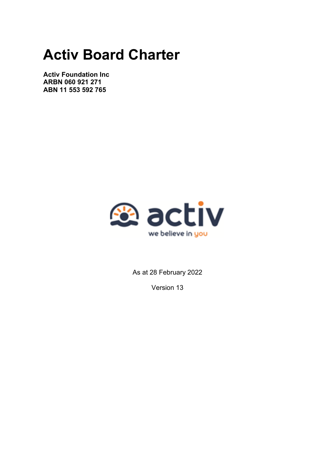# **Activ Board Charter**

**Activ Foundation Inc ARBN 060 921 271 ABN 11 553 592 765**



As at 28 February 2022

Version 13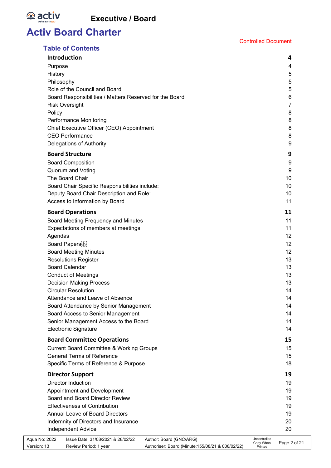*<b>a* activ

# **Activ Board Charter**

| Deputy Board Chair Description and Role:<br>Access to Information by Board<br><b>Board Operations</b><br>Board Meeting Frequency and Minutes<br>Expectations of members at meetings<br>Agendas<br>Board Papers<br><b>Board Meeting Minutes</b><br><b>Resolutions Register</b><br><b>Board Calendar</b><br><b>Conduct of Meetings</b><br><b>Decision Making Process</b><br><b>Circular Resolution</b><br>Attendance and Leave of Absence<br>Board Attendance by Senior Management<br>Board Access to Senior Management<br>Senior Management Access to the Board<br><b>Electronic Signature</b><br><b>Board Committee Operations</b><br><b>Current Board Committee &amp; Working Groups</b><br><b>General Terms of Reference</b><br>Specific Terms of Reference & Purpose<br><b>Director Support</b><br><b>Director Induction</b><br>Appointment and Development<br>Board and Board Director Review<br><b>Effectiveness of Contribution</b><br>Annual Leave of Board Directors<br>Indemnity of Directors and Insurance<br><b>Independent Advice</b><br>Issue Date: 31/08/2021 & 28/02/22 | Author: Board (GNC/ARG)                                                                                                                                                                                    | Uncontrolled                                                                                         | 11<br>11<br>11<br>11<br>12<br>12<br>12<br>13<br>13<br>13<br>13<br>14<br>14<br>14<br>14<br>14<br>14<br>15<br>15<br>15<br>18<br>19<br>19<br>19<br>19<br>19<br>19<br>20<br>20 |
|----------------------------------------------------------------------------------------------------------------------------------------------------------------------------------------------------------------------------------------------------------------------------------------------------------------------------------------------------------------------------------------------------------------------------------------------------------------------------------------------------------------------------------------------------------------------------------------------------------------------------------------------------------------------------------------------------------------------------------------------------------------------------------------------------------------------------------------------------------------------------------------------------------------------------------------------------------------------------------------------------------------------------------------------------------------------------------------|------------------------------------------------------------------------------------------------------------------------------------------------------------------------------------------------------------|------------------------------------------------------------------------------------------------------|----------------------------------------------------------------------------------------------------------------------------------------------------------------------------|
|                                                                                                                                                                                                                                                                                                                                                                                                                                                                                                                                                                                                                                                                                                                                                                                                                                                                                                                                                                                                                                                                                        |                                                                                                                                                                                                            |                                                                                                      |                                                                                                                                                                            |
|                                                                                                                                                                                                                                                                                                                                                                                                                                                                                                                                                                                                                                                                                                                                                                                                                                                                                                                                                                                                                                                                                        |                                                                                                                                                                                                            |                                                                                                      |                                                                                                                                                                            |
|                                                                                                                                                                                                                                                                                                                                                                                                                                                                                                                                                                                                                                                                                                                                                                                                                                                                                                                                                                                                                                                                                        |                                                                                                                                                                                                            |                                                                                                      |                                                                                                                                                                            |
|                                                                                                                                                                                                                                                                                                                                                                                                                                                                                                                                                                                                                                                                                                                                                                                                                                                                                                                                                                                                                                                                                        |                                                                                                                                                                                                            |                                                                                                      |                                                                                                                                                                            |
|                                                                                                                                                                                                                                                                                                                                                                                                                                                                                                                                                                                                                                                                                                                                                                                                                                                                                                                                                                                                                                                                                        |                                                                                                                                                                                                            |                                                                                                      |                                                                                                                                                                            |
|                                                                                                                                                                                                                                                                                                                                                                                                                                                                                                                                                                                                                                                                                                                                                                                                                                                                                                                                                                                                                                                                                        |                                                                                                                                                                                                            |                                                                                                      |                                                                                                                                                                            |
|                                                                                                                                                                                                                                                                                                                                                                                                                                                                                                                                                                                                                                                                                                                                                                                                                                                                                                                                                                                                                                                                                        |                                                                                                                                                                                                            |                                                                                                      |                                                                                                                                                                            |
|                                                                                                                                                                                                                                                                                                                                                                                                                                                                                                                                                                                                                                                                                                                                                                                                                                                                                                                                                                                                                                                                                        |                                                                                                                                                                                                            |                                                                                                      |                                                                                                                                                                            |
|                                                                                                                                                                                                                                                                                                                                                                                                                                                                                                                                                                                                                                                                                                                                                                                                                                                                                                                                                                                                                                                                                        |                                                                                                                                                                                                            |                                                                                                      |                                                                                                                                                                            |
|                                                                                                                                                                                                                                                                                                                                                                                                                                                                                                                                                                                                                                                                                                                                                                                                                                                                                                                                                                                                                                                                                        |                                                                                                                                                                                                            |                                                                                                      |                                                                                                                                                                            |
|                                                                                                                                                                                                                                                                                                                                                                                                                                                                                                                                                                                                                                                                                                                                                                                                                                                                                                                                                                                                                                                                                        |                                                                                                                                                                                                            |                                                                                                      |                                                                                                                                                                            |
|                                                                                                                                                                                                                                                                                                                                                                                                                                                                                                                                                                                                                                                                                                                                                                                                                                                                                                                                                                                                                                                                                        |                                                                                                                                                                                                            |                                                                                                      |                                                                                                                                                                            |
|                                                                                                                                                                                                                                                                                                                                                                                                                                                                                                                                                                                                                                                                                                                                                                                                                                                                                                                                                                                                                                                                                        |                                                                                                                                                                                                            |                                                                                                      |                                                                                                                                                                            |
|                                                                                                                                                                                                                                                                                                                                                                                                                                                                                                                                                                                                                                                                                                                                                                                                                                                                                                                                                                                                                                                                                        |                                                                                                                                                                                                            |                                                                                                      |                                                                                                                                                                            |
|                                                                                                                                                                                                                                                                                                                                                                                                                                                                                                                                                                                                                                                                                                                                                                                                                                                                                                                                                                                                                                                                                        |                                                                                                                                                                                                            |                                                                                                      |                                                                                                                                                                            |
|                                                                                                                                                                                                                                                                                                                                                                                                                                                                                                                                                                                                                                                                                                                                                                                                                                                                                                                                                                                                                                                                                        |                                                                                                                                                                                                            |                                                                                                      |                                                                                                                                                                            |
|                                                                                                                                                                                                                                                                                                                                                                                                                                                                                                                                                                                                                                                                                                                                                                                                                                                                                                                                                                                                                                                                                        |                                                                                                                                                                                                            |                                                                                                      |                                                                                                                                                                            |
|                                                                                                                                                                                                                                                                                                                                                                                                                                                                                                                                                                                                                                                                                                                                                                                                                                                                                                                                                                                                                                                                                        |                                                                                                                                                                                                            |                                                                                                      |                                                                                                                                                                            |
|                                                                                                                                                                                                                                                                                                                                                                                                                                                                                                                                                                                                                                                                                                                                                                                                                                                                                                                                                                                                                                                                                        |                                                                                                                                                                                                            |                                                                                                      |                                                                                                                                                                            |
|                                                                                                                                                                                                                                                                                                                                                                                                                                                                                                                                                                                                                                                                                                                                                                                                                                                                                                                                                                                                                                                                                        |                                                                                                                                                                                                            |                                                                                                      |                                                                                                                                                                            |
|                                                                                                                                                                                                                                                                                                                                                                                                                                                                                                                                                                                                                                                                                                                                                                                                                                                                                                                                                                                                                                                                                        |                                                                                                                                                                                                            |                                                                                                      |                                                                                                                                                                            |
|                                                                                                                                                                                                                                                                                                                                                                                                                                                                                                                                                                                                                                                                                                                                                                                                                                                                                                                                                                                                                                                                                        |                                                                                                                                                                                                            |                                                                                                      |                                                                                                                                                                            |
|                                                                                                                                                                                                                                                                                                                                                                                                                                                                                                                                                                                                                                                                                                                                                                                                                                                                                                                                                                                                                                                                                        |                                                                                                                                                                                                            |                                                                                                      |                                                                                                                                                                            |
|                                                                                                                                                                                                                                                                                                                                                                                                                                                                                                                                                                                                                                                                                                                                                                                                                                                                                                                                                                                                                                                                                        |                                                                                                                                                                                                            |                                                                                                      |                                                                                                                                                                            |
|                                                                                                                                                                                                                                                                                                                                                                                                                                                                                                                                                                                                                                                                                                                                                                                                                                                                                                                                                                                                                                                                                        |                                                                                                                                                                                                            |                                                                                                      |                                                                                                                                                                            |
|                                                                                                                                                                                                                                                                                                                                                                                                                                                                                                                                                                                                                                                                                                                                                                                                                                                                                                                                                                                                                                                                                        |                                                                                                                                                                                                            |                                                                                                      |                                                                                                                                                                            |
|                                                                                                                                                                                                                                                                                                                                                                                                                                                                                                                                                                                                                                                                                                                                                                                                                                                                                                                                                                                                                                                                                        |                                                                                                                                                                                                            |                                                                                                      |                                                                                                                                                                            |
|                                                                                                                                                                                                                                                                                                                                                                                                                                                                                                                                                                                                                                                                                                                                                                                                                                                                                                                                                                                                                                                                                        |                                                                                                                                                                                                            |                                                                                                      |                                                                                                                                                                            |
|                                                                                                                                                                                                                                                                                                                                                                                                                                                                                                                                                                                                                                                                                                                                                                                                                                                                                                                                                                                                                                                                                        |                                                                                                                                                                                                            |                                                                                                      |                                                                                                                                                                            |
|                                                                                                                                                                                                                                                                                                                                                                                                                                                                                                                                                                                                                                                                                                                                                                                                                                                                                                                                                                                                                                                                                        |                                                                                                                                                                                                            |                                                                                                      |                                                                                                                                                                            |
| Board Chair Specific Responsibilities include:                                                                                                                                                                                                                                                                                                                                                                                                                                                                                                                                                                                                                                                                                                                                                                                                                                                                                                                                                                                                                                         |                                                                                                                                                                                                            |                                                                                                      | 10<br>10                                                                                                                                                                   |
|                                                                                                                                                                                                                                                                                                                                                                                                                                                                                                                                                                                                                                                                                                                                                                                                                                                                                                                                                                                                                                                                                        |                                                                                                                                                                                                            |                                                                                                      | 10                                                                                                                                                                         |
| Quorum and Voting<br>The Board Chair                                                                                                                                                                                                                                                                                                                                                                                                                                                                                                                                                                                                                                                                                                                                                                                                                                                                                                                                                                                                                                                   |                                                                                                                                                                                                            |                                                                                                      | 9                                                                                                                                                                          |
|                                                                                                                                                                                                                                                                                                                                                                                                                                                                                                                                                                                                                                                                                                                                                                                                                                                                                                                                                                                                                                                                                        |                                                                                                                                                                                                            |                                                                                                      | 9                                                                                                                                                                          |
|                                                                                                                                                                                                                                                                                                                                                                                                                                                                                                                                                                                                                                                                                                                                                                                                                                                                                                                                                                                                                                                                                        |                                                                                                                                                                                                            |                                                                                                      | 9                                                                                                                                                                          |
|                                                                                                                                                                                                                                                                                                                                                                                                                                                                                                                                                                                                                                                                                                                                                                                                                                                                                                                                                                                                                                                                                        |                                                                                                                                                                                                            |                                                                                                      |                                                                                                                                                                            |
|                                                                                                                                                                                                                                                                                                                                                                                                                                                                                                                                                                                                                                                                                                                                                                                                                                                                                                                                                                                                                                                                                        |                                                                                                                                                                                                            |                                                                                                      | 9                                                                                                                                                                          |
|                                                                                                                                                                                                                                                                                                                                                                                                                                                                                                                                                                                                                                                                                                                                                                                                                                                                                                                                                                                                                                                                                        |                                                                                                                                                                                                            |                                                                                                      | 8                                                                                                                                                                          |
|                                                                                                                                                                                                                                                                                                                                                                                                                                                                                                                                                                                                                                                                                                                                                                                                                                                                                                                                                                                                                                                                                        |                                                                                                                                                                                                            |                                                                                                      | 8                                                                                                                                                                          |
|                                                                                                                                                                                                                                                                                                                                                                                                                                                                                                                                                                                                                                                                                                                                                                                                                                                                                                                                                                                                                                                                                        |                                                                                                                                                                                                            |                                                                                                      | 8<br>8                                                                                                                                                                     |
|                                                                                                                                                                                                                                                                                                                                                                                                                                                                                                                                                                                                                                                                                                                                                                                                                                                                                                                                                                                                                                                                                        |                                                                                                                                                                                                            |                                                                                                      | 7                                                                                                                                                                          |
|                                                                                                                                                                                                                                                                                                                                                                                                                                                                                                                                                                                                                                                                                                                                                                                                                                                                                                                                                                                                                                                                                        |                                                                                                                                                                                                            |                                                                                                      | 6                                                                                                                                                                          |
|                                                                                                                                                                                                                                                                                                                                                                                                                                                                                                                                                                                                                                                                                                                                                                                                                                                                                                                                                                                                                                                                                        |                                                                                                                                                                                                            |                                                                                                      | 5                                                                                                                                                                          |
|                                                                                                                                                                                                                                                                                                                                                                                                                                                                                                                                                                                                                                                                                                                                                                                                                                                                                                                                                                                                                                                                                        |                                                                                                                                                                                                            |                                                                                                      | 5                                                                                                                                                                          |
|                                                                                                                                                                                                                                                                                                                                                                                                                                                                                                                                                                                                                                                                                                                                                                                                                                                                                                                                                                                                                                                                                        |                                                                                                                                                                                                            |                                                                                                      | 5                                                                                                                                                                          |
|                                                                                                                                                                                                                                                                                                                                                                                                                                                                                                                                                                                                                                                                                                                                                                                                                                                                                                                                                                                                                                                                                        |                                                                                                                                                                                                            |                                                                                                      | 4                                                                                                                                                                          |
|                                                                                                                                                                                                                                                                                                                                                                                                                                                                                                                                                                                                                                                                                                                                                                                                                                                                                                                                                                                                                                                                                        |                                                                                                                                                                                                            |                                                                                                      | 4                                                                                                                                                                          |
| <b>Table of Contents</b>                                                                                                                                                                                                                                                                                                                                                                                                                                                                                                                                                                                                                                                                                                                                                                                                                                                                                                                                                                                                                                                               | Philosophy<br>Role of the Council and Board<br><b>Risk Oversight</b><br>Performance Monitoring<br><b>CEO Performance</b><br>Delegations of Authority<br><b>Board Structure</b><br><b>Board Composition</b> | Board Responsibilities / Matters Reserved for the Board<br>Chief Executive Officer (CEO) Appointment | Introduction                                                                                                                                                               |

Version: 13 Review Period: 1 year Authoriser: Board (Minute: 155/08/21 & 008/02/22)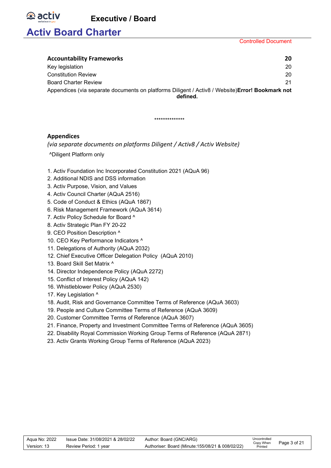# **Activ Board Charter**

**e** activ

Controlled Document

| <b>Accountability Frameworks</b>                                                                             | 20 |
|--------------------------------------------------------------------------------------------------------------|----|
| Key legislation                                                                                              | 20 |
| <b>Constitution Review</b>                                                                                   | 20 |
| <b>Board Charter Review</b>                                                                                  | 21 |
| Appendices (via separate documents on platforms Diligent / Activ8 / Website) Error! Bookmark not<br>defined. |    |

#### \*\*\*\*\*\*\*\*\*\*\*\*\*\*

#### **Appendices**

*(via separate documents on platforms Diligent / Activ8 / Activ Website)*

- ^Diligent Platform only
- 1. Activ Foundation Inc Incorporated Constitution 2021 (AQuA 96)
- 2. Additional NDIS and DSS information
- 3. Activ Purpose, Vision, and Values
- 4. Activ Council Charter (AQuA 2516)
- 5. Code of Conduct & Ethics (AQuA 1867)
- 6. Risk Management Framework (AQuA 3614)
- 7. Activ Policy Schedule for Board ^
- 8. Activ Strategic Plan FY 20-22
- 9. CEO Position Description ^
- 10. CEO Key Performance Indicators ^
- 11. Delegations of Authority (AQuA 2032)
- 12. Chief Executive Officer Delegation Policy (AQuA 2010)
- 13. Board Skill Set Matrix ^
- 14. Director Independence Policy (AQuA 2272)
- 15. Conflict of Interest Policy (AQuA 142)
- 16. Whistleblower Policy (AQuA 2530)
- 17. Key Legislation ^
- 18. Audit, Risk and Governance Committee Terms of Reference (AQuA 3603)
- 19. People and Culture Committee Terms of Reference (AQuA 3609)
- 20. Customer Committee Terms of Reference (AQuA 3607)
- 21. Finance, Property and Investment Committee Terms of Reference (AQuA 3605)
- 22. Disability Royal Commission Working Group Terms of Reference (AQuA 2871)
- 23. Activ Grants Working Group Terms of Reference (AQuA 2023)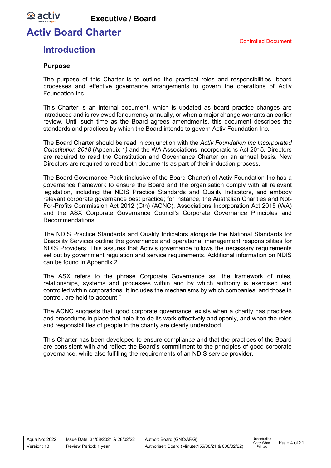### **Activ Board Charter**

#### Controlled Document

### <span id="page-3-0"></span>**Introduction**

#### <span id="page-3-1"></span>**Purpose**

**e** activ

The purpose of this Charter is to outline the practical roles and responsibilities, board processes and effective governance arrangements to govern the operations of Activ Foundation Inc.

This Charter is an internal document, which is updated as board practice changes are introduced and is reviewed for currency annually, or when a major change warrants an earlier review. Until such time as the Board agrees amendments, this document describes the standards and practices by which the Board intends to govern Activ Foundation Inc.

The Board Charter should be read in conjunction with the *Activ Foundation Inc Incorporated Constitution 2018* (Appendix 1*)* and the WA Associations Incorporations Act 2015. Directors are required to read the Constitution and Governance Charter on an annual basis. New Directors are required to read both documents as part of their induction process.

The Board Governance Pack (inclusive of the Board Charter) of Activ Foundation Inc has a governance framework to ensure the Board and the organisation comply with all relevant legislation, including the NDIS Practice Standards and Quality Indicators, and embody relevant corporate governance best practice; for instance, the Australian Charities and Not-For-Profits Commission Act 2012 (Cth) (ACNC), Associations Incorporation Act 2015 (WA) and the ASX Corporate Governance Council's Corporate Governance Principles and Recommendations.

The NDIS Practice Standards and Quality Indicators alongside the National Standards for Disability Services outline the governance and operational management responsibilities for NDIS Providers. This assures that Activ's governance follows the necessary requirements set out by government regulation and service requirements. Additional information on NDIS can be found in Appendix 2.

The ASX refers to the phrase Corporate Governance as "the framework of rules, relationships, systems and processes within and by which authority is exercised and controlled within corporations. It includes the mechanisms by which companies, and those in control, are held to account."

The ACNC suggests that 'good corporate governance' exists when a charity has practices and procedures in place that help it to do its work effectively and openly, and when the roles and responsibilities of people in the charity are clearly understood.

This Charter has been developed to ensure compliance and that the practices of the Board are consistent with and reflect the Board's commitment to the principles of good corporate governance, while also fulfilling the requirements of an NDIS service provider.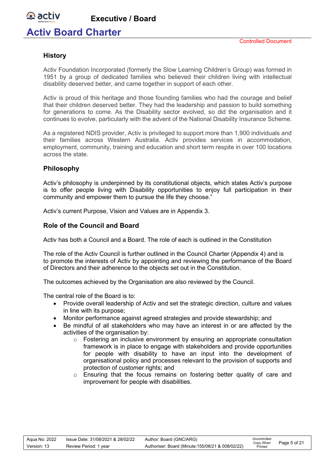### **Activ Board Charter**

#### <span id="page-4-0"></span>**History**

**e** activ

Activ Foundation Incorporated (formerly the Slow Learning Children's Group) was formed in 1951 by a group of dedicated families who believed their children living with intellectual disability deserved better, and came together in support of each other.

Activ is proud of this heritage and those founding families who had the courage and belief that their children deserved better. They had the leadership and passion to build something for generations to come. As the Disability sector evolved, so did the organisation and it continues to evolve, particularly with the advent of the National Disability Insurance Scheme.

As a registered NDIS provider, Activ is privileged to support more than 1,900 individuals and their families across Western Australia. Activ provides services in accommodation, employment, community, training and education and short term respite in over 100 locations across the state.

#### <span id="page-4-1"></span>**Philosophy**

Activ's philosophy is underpinned by its constitutional objects, which states Activ's purpose is to offer people living with Disability opportunities to enjoy full participation in their community and empower them to pursue the life they choose."

Activ's current Purpose, Vision and Values are in Appendix 3.

#### <span id="page-4-2"></span>**Role of the Council and Board**

Activ has both a Council and a Board. The role of each is outlined in the Constitution

The role of the Activ Council is further outlined in the Council Charter (Appendix 4) and is to promote the interests of Activ by appointing and reviewing the performance of the Board of Directors and their adherence to the objects set out in the Constitution.

The outcomes achieved by the Organisation are also reviewed by the Council.

The central role of the Board is to:

- Provide overall leadership of Activ and set the strategic direction, culture and values in line with its purpose;
- Monitor performance against agreed strategies and provide stewardship; and
- Be mindful of all stakeholders who may have an interest in or are affected by the activities of the organisation by:
	- $\circ$  Fostering an inclusive environment by ensuring an appropriate consultation framework is in place to engage with stakeholders and provide opportunities for people with disability to have an input into the development of organisational policy and processes relevant to the provision of supports and protection of customer rights; and
	- o Ensuring that the focus remains on fostering better quality of care and improvement for people with disabilities.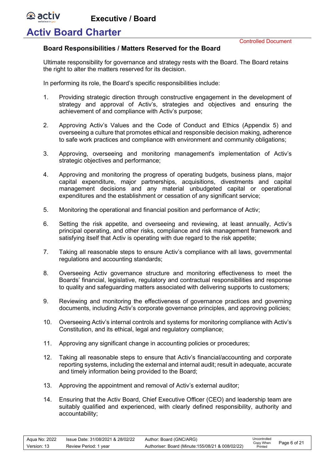### **Activ Board Charter**

*<b>B* activ

Controlled Document

#### <span id="page-5-0"></span>**Board Responsibilities / Matters Reserved for the Board**

Ultimate responsibility for governance and strategy rests with the Board. The Board retains the right to alter the matters reserved for its decision.

In performing its role, the Board's specific responsibilities include:

- 1. Providing strategic direction through constructive engagement in the development of strategy and approval of Activ's, strategies and objectives and ensuring the achievement of and compliance with Activ's purpose;
- 2. Approving Activ's Values and the Code of Conduct and Ethics (Appendix 5) and overseeing a culture that promotes ethical and responsible decision making, adherence to safe work practices and compliance with environment and community obligations;
- 3. Approving, overseeing and monitoring management's implementation of Activ's strategic objectives and performance;
- 4. Approving and monitoring the progress of operating budgets, business plans, major capital expenditure, major partnerships, acquisitions, divestments and capital management decisions and any material unbudgeted capital or operational expenditures and the establishment or cessation of any significant service;
- 5. Monitoring the operational and financial position and performance of Activ;
- 6. Setting the risk appetite, and overseeing and reviewing, at least annually, Activ's principal operating, and other risks, compliance and risk management framework and satisfying itself that Activ is operating with due regard to the risk appetite;
- 7. Taking all reasonable steps to ensure Activ's compliance with all laws, governmental regulations and accounting standards;
- 8. Overseeing Activ governance structure and monitoring effectiveness to meet the Boards' financial, legislative, regulatory and contractual responsibilities and response to quality and safeguarding matters associated with delivering supports to customers;
- 9. Reviewing and monitoring the effectiveness of governance practices and governing documents, including Activ's corporate governance principles, and approving policies;
- 10. Overseeing Activ's internal controls and systems for monitoring compliance with Activ's Constitution, and its ethical, legal and regulatory compliance;
- 11. Approving any significant change in accounting policies or procedures;
- 12. Taking all reasonable steps to ensure that Activ's financial/accounting and corporate reporting systems, including the external and internal audit; result in adequate, accurate and timely information being provided to the Board;
- 13. Approving the appointment and removal of Activ's external auditor;
- 14. Ensuring that the Activ Board, Chief Executive Officer (CEO) and leadership team are suitably qualified and experienced, with clearly defined responsibility, authority and accountability;

| Agua No: 2022 | Issue Date: 31/08/2021 & 28/02/22 | Author: Board (GNC/ARG)                           | Uncontrolled<br>Copy When | Page 6 of 21 |
|---------------|-----------------------------------|---------------------------------------------------|---------------------------|--------------|
| Version: 13   | Review Period: 1 year             | Authoriser: Board (Minute: 155/08/21 & 008/02/22) | Printed                   |              |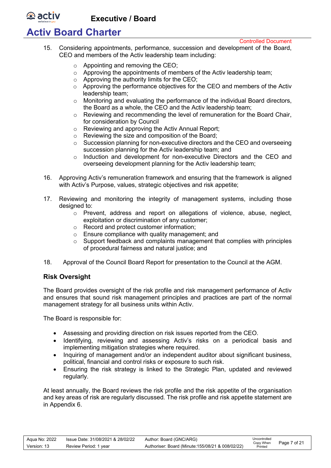## **Activ Board Charter**

**e** activ

Controlled Document

- 15. Considering appointments, performance, succession and development of the Board, CEO and members of the Activ leadership team including:
	- o Appointing and removing the CEO;
	- o Approving the appointments of members of the Activ leadership team;
	- $\circ$  Approving the authority limits for the CEO;
	- o Approving the performance objectives for the CEO and members of the Activ leadership team;
	- $\circ$  Monitoring and evaluating the performance of the individual Board directors, the Board as a whole, the CEO and the Activ leadership team;
	- $\circ$  Reviewing and recommending the level of remuneration for the Board Chair, for consideration by Council
	- o Reviewing and approving the Activ Annual Report;
	- o Reviewing the size and composition of the Board;
	- o Succession planning for non-executive directors and the CEO and overseeing succession planning for the Activ leadership team; and
	- o Induction and development for non-executive Directors and the CEO and overseeing development planning for the Activ leadership team;
- 16. Approving Activ's remuneration framework and ensuring that the framework is aligned with Activ's Purpose, values, strategic objectives and risk appetite;
- 17. Reviewing and monitoring the integrity of management systems, including those designed to:
	- o Prevent, address and report on allegations of violence, abuse, neglect, exploitation or discrimination of any customer;
	- o Record and protect customer information;
	- o Ensure compliance with quality management; and
	- $\circ$  Support feedback and complaints management that complies with principles of procedural fairness and natural justice; and
- 18. Approval of the Council Board Report for presentation to the Council at the AGM.

#### <span id="page-6-0"></span>**Risk Oversight**

The Board provides oversight of the risk profile and risk management performance of Activ and ensures that sound risk management principles and practices are part of the normal management strategy for all business units within Activ.

The Board is responsible for:

- Assessing and providing direction on risk issues reported from the CEO.
- Identifying, reviewing and assessing Activ's risks on a periodical basis and implementing mitigation strategies where required.
- Inquiring of management and/or an independent auditor about significant business, political, financial and control risks or exposure to such risk.
- Ensuring the risk strategy is linked to the Strategic Plan, updated and reviewed regularly.

At least annually, the Board reviews the risk profile and the risk appetite of the organisation and key areas of risk are regularly discussed. The risk profile and risk appetite statement are in Appendix 6.

| Aqua No: 2022 | lssue Date: 31/08/2021 & 28/02/22 | Author: Board (GNC/ARG)                           | Uncontrolled         | Page 7 of 21 |
|---------------|-----------------------------------|---------------------------------------------------|----------------------|--------------|
| Version: 13   | Review Period: 1 year             | Authoriser: Board (Minute: 155/08/21 & 008/02/22) | Copy When<br>Printed |              |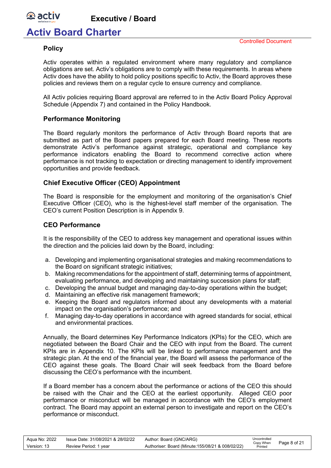

## **Activ Board Charter**

#### <span id="page-7-0"></span>**Policy**

Activ operates within a regulated environment where many regulatory and compliance obligations are set. Activ's obligations are to comply with these requirements. In areas where Activ does have the ability to hold policy positions specific to Activ, the Board approves these policies and reviews them on a regular cycle to ensure currency and compliance.

All Activ policies requiring Board approval are referred to in the Activ Board Policy Approval Schedule (Appendix 7) and contained in the Policy Handbook.

#### <span id="page-7-1"></span>**Performance Monitoring**

The Board regularly monitors the performance of Activ through Board reports that are submitted as part of the Board papers prepared for each Board meeting. These reports demonstrate Activ's performance against strategic, operational and compliance key performance indicators enabling the Board to recommend corrective action where performance is not tracking to expectation or directing management to identify improvement opportunities and provide feedback.

#### <span id="page-7-2"></span>**Chief Executive Officer (CEO) Appointment**

The Board is responsible for the employment and monitoring of the organisation's Chief Executive Officer (CEO), who is the highest-level staff member of the organisation. The CEO's current Position Description is in Appendix 9.

#### <span id="page-7-3"></span>**CEO Performance**

It is the responsibility of the CEO to address key management and operational issues within the direction and the policies laid down by the Board, including:

- a. Developing and implementing organisational strategies and making recommendations to the Board on significant strategic initiatives;
- b. Making recommendations for the appointment of staff, determining terms of appointment, evaluating performance, and developing and maintaining succession plans for staff;
- c. Developing the annual budget and managing day-to-day operations within the budget;
- d. Maintaining an effective risk management framework;
- e. Keeping the Board and regulators informed about any developments with a material impact on the organisation's performance; and
- f. Managing day-to-day operations in accordance with agreed standards for social, ethical and environmental practices.

Annually, the Board determines Key Performance Indicators (KPIs) for the CEO, which are negotiated between the Board Chair and the CEO with input from the Board. The current KPIs are in Appendix 10. The KPIs will be linked to performance management and the strategic plan. At the end of the financial year, the Board will assess the performance of the CEO against these goals. The Board Chair will seek feedback from the Board before discussing the CEO's performance with the incumbent.

If a Board member has a concern about the performance or actions of the CEO this should be raised with the Chair and the CEO at the earliest opportunity. Alleged CEO poor performance or misconduct will be managed in accordance with the CEO's employment contract. The Board may appoint an external person to investigate and report on the CEO's performance or misconduct.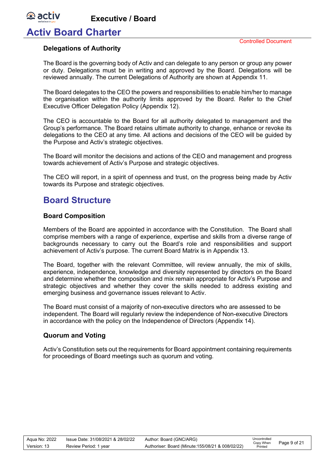### **Activ Board Charter**

**e** activ

#### <span id="page-8-0"></span>**Delegations of Authority**

The Board is the governing body of Activ and can delegate to any person or group any power or duty. Delegations must be in writing and approved by the Board. Delegations will be reviewed annually. The current Delegations of Authority are shown at Appendix 11.

The Board delegates to the CEO the powers and responsibilities to enable him/her to manage the organisation within the authority limits approved by the Board. Refer to the Chief Executive Officer Delegation Policy (Appendix 12).

The CEO is accountable to the Board for all authority delegated to management and the Group's performance. The Board retains ultimate authority to change, enhance or revoke its delegations to the CEO at any time. All actions and decisions of the CEO will be guided by the Purpose and Activ's strategic objectives.

The Board will monitor the decisions and actions of the CEO and management and progress towards achievement of Activ's Purpose and strategic objectives.

The CEO will report, in a spirit of openness and trust, on the progress being made by Activ towards its Purpose and strategic objectives.

### <span id="page-8-1"></span>**Board Structure**

#### <span id="page-8-2"></span>**Board Composition**

Members of the Board are appointed in accordance with the Constitution. The Board shall comprise members with a range of experience, expertise and skills from a diverse range of backgrounds necessary to carry out the Board's role and responsibilities and support achievement of Activ's purpose. The current Board Matrix is in Appendix 13.

The Board, together with the relevant Committee, will review annually, the mix of skills, experience, independence, knowledge and diversity represented by directors on the Board and determine whether the composition and mix remain appropriate for Activ's Purpose and strategic objectives and whether they cover the skills needed to address existing and emerging business and governance issues relevant to Activ.

The Board must consist of a majority of non-executive directors who are assessed to be independent. The Board will regularly review the independence of Non-executive Directors in accordance with the policy on the Independence of Directors (Appendix 14).

#### <span id="page-8-3"></span>**Quorum and Voting**

Activ's Constitution sets out the requirements for Board appointment containing requirements for proceedings of Board meetings such as quorum and voting.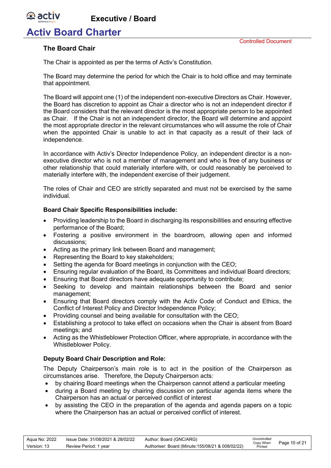## **Activ Board Charter**

#### <span id="page-9-0"></span>**The Board Chair**

*<b>D* activ

The Chair is appointed as per the terms of Activ's Constitution.

The Board may determine the period for which the Chair is to hold office and may terminate that appointment.

The Board will appoint one (1) of the independent non-executive Directors as Chair. However, the Board has discretion to appoint as Chair a director who is not an independent director if the Board considers that the relevant director is the most appropriate person to be appointed as Chair. If the Chair is not an independent director, the Board will determine and appoint the most appropriate director in the relevant circumstances who will assume the role of Chair when the appointed Chair is unable to act in that capacity as a result of their lack of independence.

In accordance with Activ's Director Independence Policy, an independent director is a nonexecutive director who is not a member of management and who is free of any business or other relationship that could materially interfere with, or could reasonably be perceived to materially interfere with, the independent exercise of their judgement.

The roles of Chair and CEO are strictly separated and must not be exercised by the same individual.

#### <span id="page-9-1"></span>**Board Chair Specific Responsibilities include:**

- Providing leadership to the Board in discharging its responsibilities and ensuring effective performance of the Board;
- Fostering a positive environment in the boardroom, allowing open and informed discussions;
- Acting as the primary link between Board and management;
- Representing the Board to key stakeholders;
- Setting the agenda for Board meetings in conjunction with the CEO;
- Ensuring regular evaluation of the Board, its Committees and individual Board directors;
- Ensuring that Board directors have adequate opportunity to contribute;
- Seeking to develop and maintain relationships between the Board and senior management;
- Ensuring that Board directors comply with the Activ Code of Conduct and Ethics, the Conflict of Interest Policy and Director Independence Policy;
- Providing counsel and being available for consultation with the CEO;
- Establishing a protocol to take effect on occasions when the Chair is absent from Board meetings; and
- Acting as the Whistleblower Protection Officer, where appropriate, in accordance with the Whistleblower Policy.

#### <span id="page-9-2"></span>**Deputy Board Chair Description and Role:**

The Deputy Chairperson's main role is to act in the position of the Chairperson as circumstances arise. Therefore, the Deputy Chairperson acts:

- by chairing Board meetings when the Chairperson cannot attend a particular meeting
- during a Board meeting by chairing discussion on particular agenda items where the Chairperson has an actual or perceived conflict of interest
- by assisting the CEO in the preparation of the agenda and agenda papers on a topic where the Chairperson has an actual or perceived conflict of interest.

| Agua No: 2022 | Issue Date: 31/08/2021 & 28/02/22 | Author: Board (GNC/ARG)                           | Uncontrolled<br>Copy When | Page 10 of 21 |
|---------------|-----------------------------------|---------------------------------------------------|---------------------------|---------------|
| Version: 13   | Review Period: 1 year             | Authoriser: Board (Minute: 155/08/21 & 008/02/22) | Printed                   |               |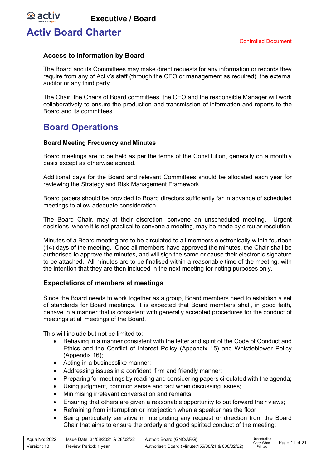**Activ Board Charter**

*<b>B* activ

#### <span id="page-10-0"></span>**Access to Information by Board**

The Board and its Committees may make direct requests for any information or records they require from any of Activ's staff (through the CEO or management as required), the external auditor or any third party.

The Chair, the Chairs of Board committees, the CEO and the responsible Manager will work collaboratively to ensure the production and transmission of information and reports to the Board and its committees.

### <span id="page-10-1"></span>**Board Operations**

#### <span id="page-10-2"></span>**Board Meeting Frequency and Minutes**

Board meetings are to be held as per the terms of the Constitution, generally on a monthly basis except as otherwise agreed.

Additional days for the Board and relevant Committees should be allocated each year for reviewing the Strategy and Risk Management Framework.

Board papers should be provided to Board directors sufficiently far in advance of scheduled meetings to allow adequate consideration.

The Board Chair, may at their discretion, convene an unscheduled meeting. Urgent decisions, where it is not practical to convene a meeting, may be made by circular resolution.

Minutes of a Board meeting are to be circulated to all members electronically within fourteen (14) days of the meeting. Once all members have approved the minutes, the Chair shall be authorised to approve the minutes, and will sign the same or cause their electronic signature to be attached. All minutes are to be finalised within a reasonable time of the meeting, with the intention that they are then included in the next meeting for noting purposes only.

#### <span id="page-10-3"></span>**Expectations of members at meetings**

Since the Board needs to work together as a group, Board members need to establish a set of standards for Board meetings. It is expected that Board members shall, in good faith, behave in a manner that is consistent with generally accepted procedures for the conduct of meetings at all meetings of the Board.

This will include but not be limited to:

- Behaving in a manner consistent with the letter and spirit of the Code of Conduct and Ethics and the Conflict of Interest Policy (Appendix 15) and Whistleblower Policy (Appendix 16);
- Acting in a businesslike manner;
- Addressing issues in a confident, firm and friendly manner;
- Preparing for meetings by reading and considering papers circulated with the agenda;
- Using judgment, common sense and tact when discussing issues;
- Minimising irrelevant conversation and remarks;
- Ensuring that others are given a reasonable opportunity to put forward their views;
- Refraining from interruption or interjection when a speaker has the floor
- Being particularly sensitive in interpreting any request or direction from the Board Chair that aims to ensure the orderly and good spirited conduct of the meeting;

| Aqua No: 2022 | Issue Date: 31/08/2021 & 28/02/22 | Author: Board (GNC/ARG)                           | Uncontrolled<br>Copy When |               |
|---------------|-----------------------------------|---------------------------------------------------|---------------------------|---------------|
| Version: 13   | Review Period: 1 vear             | Authoriser: Board (Minute: 155/08/21 & 008/02/22) | Printed                   | Page 11 of 21 |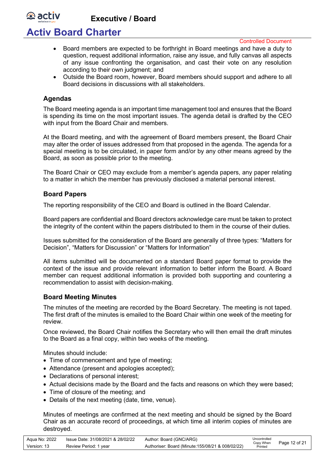# **Activ Board Charter**

Controlled Document

- Board members are expected to be forthright in Board meetings and have a duty to question, request additional information, raise any issue, and fully canvas all aspects of any issue confronting the organisation, and cast their vote on any resolution according to their own judgment; and
- Outside the Board room, however, Board members should support and adhere to all Board decisions in discussions with all stakeholders.

#### <span id="page-11-0"></span>**Agendas**

*<b>D* activ

The Board meeting agenda is an important time management tool and ensures that the Board is spending its time on the most important issues. The agenda detail is drafted by the CEO with input from the Board Chair and members.

At the Board meeting, and with the agreement of Board members present, the Board Chair may alter the order of issues addressed from that proposed in the agenda. The agenda for a special meeting is to be circulated, in paper form and/or by any other means agreed by the Board, as soon as possible prior to the meeting.

The Board Chair or CEO may exclude from a member's agenda papers, any paper relating to a matter in which the member has previously disclosed a material personal interest.

#### <span id="page-11-1"></span>**Board Papers**

The reporting responsibility of the CEO and Board is outlined in the Board Calendar.

Board papers are confidential and Board directors acknowledge care must be taken to protect the integrity of the content within the papers distributed to them in the course of their duties.

Issues submitted for the consideration of the Board are generally of three types: "Matters for Decision", "Matters for Discussion" or "Matters for Information"

All items submitted will be documented on a standard Board paper format to provide the context of the issue and provide relevant information to better inform the Board. A Board member can request additional information is provided both supporting and countering a recommendation to assist with decision-making.

#### <span id="page-11-2"></span>**Board Meeting Minutes**

The minutes of the meeting are recorded by the Board Secretary. The meeting is not taped. The first draft of the minutes is emailed to the Board Chair within one week of the meeting for review.

Once reviewed, the Board Chair notifies the Secretary who will then email the draft minutes to the Board as a final copy, within two weeks of the meeting.

Minutes should include:

- Time of commencement and type of meeting;
- Attendance (present and apologies accepted);
- Declarations of personal interest;
- Actual decisions made by the Board and the facts and reasons on which they were based;
- Time of closure of the meeting; and
- Details of the next meeting (date, time, venue).

Minutes of meetings are confirmed at the next meeting and should be signed by the Board Chair as an accurate record of proceedings, at which time all interim copies of minutes are destroyed.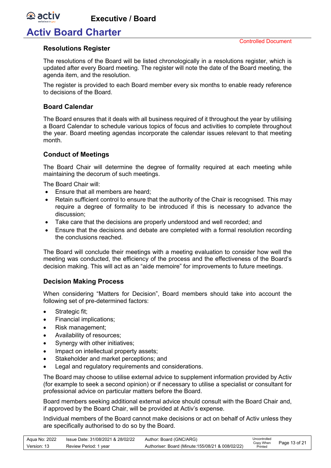

# **Activ Board Charter**

#### <span id="page-12-0"></span>**Resolutions Register**

The resolutions of the Board will be listed chronologically in a resolutions register, which is updated after every Board meeting. The register will note the date of the Board meeting, the agenda item, and the resolution.

The register is provided to each Board member every six months to enable ready reference to decisions of the Board.

#### <span id="page-12-1"></span>**Board Calendar**

The Board ensures that it deals with all business required of it throughout the year by utilising a Board Calendar to schedule various topics of focus and activities to complete throughout the year. Board meeting agendas incorporate the calendar issues relevant to that meeting month.

#### <span id="page-12-2"></span>**Conduct of Meetings**

The Board Chair will determine the degree of formality required at each meeting while maintaining the decorum of such meetings.

The Board Chair will:

- Ensure that all members are heard:
- Retain sufficient control to ensure that the authority of the Chair is recognised. This may require a degree of formality to be introduced if this is necessary to advance the discussion;
- Take care that the decisions are properly understood and well recorded; and
- Ensure that the decisions and debate are completed with a formal resolution recording the conclusions reached.

The Board will conclude their meetings with a meeting evaluation to consider how well the meeting was conducted, the efficiency of the process and the effectiveness of the Board's decision making. This will act as an "aide memoire" for improvements to future meetings.

#### <span id="page-12-3"></span>**Decision Making Process**

When considering "Matters for Decision", Board members should take into account the following set of pre-determined factors:

- Strategic fit;
- Financial implications;
- Risk management;
- Availability of resources;
- Synergy with other initiatives;
- Impact on intellectual property assets;
- Stakeholder and market perceptions; and
- Legal and regulatory requirements and considerations.

The Board may choose to utilise external advice to supplement information provided by Activ (for example to seek a second opinion) or if necessary to utilise a specialist or consultant for professional advice on particular matters before the Board.

Board members seeking additional external advice should consult with the Board Chair and, if approved by the Board Chair, will be provided at Activ's expense.

Individual members of the Board cannot make decisions or act on behalf of Activ unless they are specifically authorised to do so by the Board.

| Agua No: 2022 | lssue Date: 31/08/2021 & 28/02/22 | Author: Board (GNC/ARG)                           | Uncontrolled         |               |
|---------------|-----------------------------------|---------------------------------------------------|----------------------|---------------|
| Version: 13   | Review Period: 1 year             | Authoriser: Board (Minute: 155/08/21 & 008/02/22) | Copy When<br>Printed | Page 13 of 21 |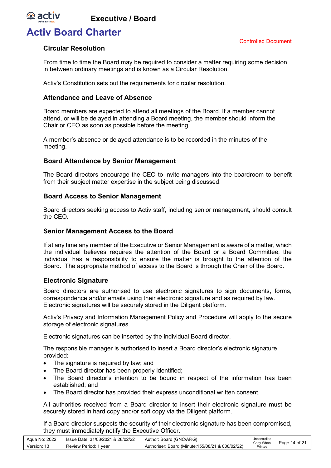

## **Activ Board Charter**

#### <span id="page-13-0"></span>**Circular Resolution**

From time to time the Board may be required to consider a matter requiring some decision in between ordinary meetings and is known as a Circular Resolution.

Activ's Constitution sets out the requirements for circular resolution.

#### <span id="page-13-1"></span>**Attendance and Leave of Absence**

Board members are expected to attend all meetings of the Board. If a member cannot attend, or will be delayed in attending a Board meeting, the member should inform the Chair or CEO as soon as possible before the meeting.

A member's absence or delayed attendance is to be recorded in the minutes of the meeting.

#### <span id="page-13-2"></span>**Board Attendance by Senior Management**

The Board directors encourage the CEO to invite managers into the boardroom to benefit from their subject matter expertise in the subject being discussed.

#### <span id="page-13-3"></span>**Board Access to Senior Management**

Board directors seeking access to Activ staff, including senior management, should consult the CEO.

#### <span id="page-13-4"></span>**Senior Management Access to the Board**

If at any time any member of the Executive or Senior Management is aware of a matter, which the individual believes requires the attention of the Board or a Board Committee, the individual has a responsibility to ensure the matter is brought to the attention of the Board. The appropriate method of access to the Board is through the Chair of the Board.

#### <span id="page-13-5"></span>**Electronic Signature**

Board directors are authorised to use electronic signatures to sign documents, forms, correspondence and/or emails using their electronic signature and as required by law. Electronic signatures will be securely stored in the Diligent platform.

Activ's Privacy and Information Management Policy and Procedure will apply to the secure storage of electronic signatures.

Electronic signatures can be inserted by the individual Board director.

The responsible manager is authorised to insert a Board director's electronic signature provided:

- The signature is required by law; and
- The Board director has been properly identified;
- The Board director's intention to be bound in respect of the information has been established; and
- The Board director has provided their express unconditional written consent.

All authorities received from a Board director to insert their electronic signature must be securely stored in hard copy and/or soft copy via the Diligent platform.

If a Board director suspects the security of their electronic signature has been compromised, they must immediately notify the Executive Officer.

| Agua No: 2022 | lssue Date: 31/08/2021 & 28/02/22 | Author: Board (GNC/ARG)                           | Uncontrolled         |               |
|---------------|-----------------------------------|---------------------------------------------------|----------------------|---------------|
| Version: 13   | Review Period: 1 year             | Authoriser: Board (Minute: 155/08/21 & 008/02/22) | Copy When<br>Printed | Page 14 of 21 |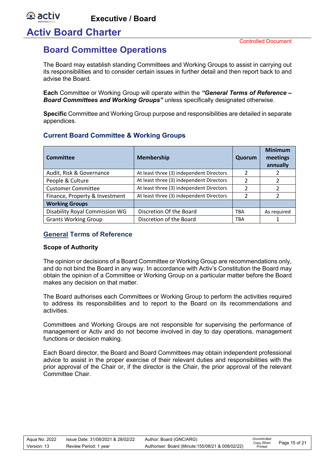**Activ Board Charter**

**e** activ

### <span id="page-14-0"></span>**Board Committee Operations**

The Board may establish standing Committees and Working Groups to assist in carrying out its responsibilities and to consider certain issues in further detail and then report back to and advise the Board.

**Each** Committee or Working Group will operate within the *"General Terms of Reference – Board Committees and Working Groups"* unless specifically designated otherwise.

**Specific** Committee and Working Group purpose and responsibilities are detailed in separate appendices.

#### <span id="page-14-1"></span>**Current Board Committee & Working Groups**

| Committee                      | <b>Membership</b>                        | Quorum         | <b>Minimum</b><br>meetings<br>annually |
|--------------------------------|------------------------------------------|----------------|----------------------------------------|
| Audit, Risk & Governance       | At least three (3) independent Directors |                |                                        |
| People & Culture               | At least three (3) independent Directors | $\mathcal{P}$  |                                        |
| <b>Customer Committee</b>      | At least three (3) independent Directors | 2              | າ                                      |
| Finance, Property & Investment | At least three (3) independent Directors | $\mathfrak{p}$ |                                        |
| <b>Working Groups</b>          |                                          |                |                                        |
| Disability Royal Commission WG | Discretion Of the Board                  | <b>TBA</b>     | As required                            |
| <b>Grants Working Group</b>    | Discretion of the Board                  | <b>TBA</b>     |                                        |

#### <span id="page-14-2"></span>**General Terms of Reference**

#### **Scope of Authority**

The opinion or decisions of a Board Committee or Working Group are recommendations only, and do not bind the Board in any way. In accordance with Activ's Constitution the Board may obtain the opinion of a Committee or Working Group on a particular matter before the Board makes any decision on that matter.

The Board authorises each Committees or Working Group to perform the activities required to address its responsibilities and to report to the Board on its recommendations and activities.

Committees and Working Groups are not responsible for supervising the performance of management or Activ and do not become involved in day to day operations, management functions or decision making.

Each Board director, the Board and Board Committees may obtain independent professional advice to assist in the proper exercise of their relevant duties and responsibilities with the prior approval of the Chair or, if the director is the Chair, the prior approval of the relevant Committee Chair.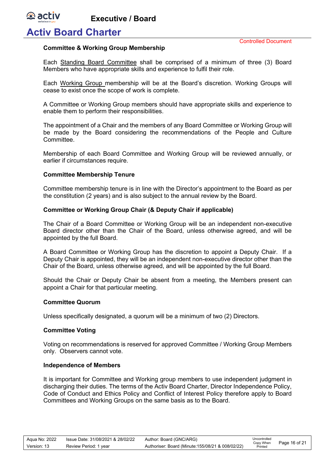### **Activ Board Charter**

*<b>A* activ

#### **Committee & Working Group Membership**

Each Standing Board Committee shall be comprised of a minimum of three (3) Board Members who have appropriate skills and experience to fulfil their role.

Each Working Group membership will be at the Board's discretion. Working Groups will cease to exist once the scope of work is complete.

A Committee or Working Group members should have appropriate skills and experience to enable them to perform their responsibilities.

The appointment of a Chair and the members of any Board Committee or Working Group will be made by the Board considering the recommendations of the People and Culture **Committee.** 

Membership of each Board Committee and Working Group will be reviewed annually, or earlier if circumstances require.

#### **Committee Membership Tenure**

Committee membership tenure is in line with the Director's appointment to the Board as per the constitution (2 years) and is also subject to the annual review by the Board.

#### **Committee or Working Group Chair (& Deputy Chair if applicable)**

The Chair of a Board Committee or Working Group will be an independent non-executive Board director other than the Chair of the Board, unless otherwise agreed, and will be appointed by the full Board.

A Board Committee or Working Group has the discretion to appoint a Deputy Chair. If a Deputy Chair is appointed, they will be an independent non-executive director other than the Chair of the Board, unless otherwise agreed, and will be appointed by the full Board.

Should the Chair or Deputy Chair be absent from a meeting, the Members present can appoint a Chair for that particular meeting.

#### **Committee Quorum**

Unless specifically designated, a quorum will be a minimum of two (2) Directors.

#### **Committee Voting**

Voting on recommendations is reserved for approved Committee / Working Group Members only. Observers cannot vote.

#### **Independence of Members**

It is important for Committee and Working group members to use independent judgment in discharging their duties. The terms of the Activ Board Charter, Director Independence Policy, Code of Conduct and Ethics Policy and Conflict of Interest Policy therefore apply to Board Committees and Working Groups on the same basis as to the Board.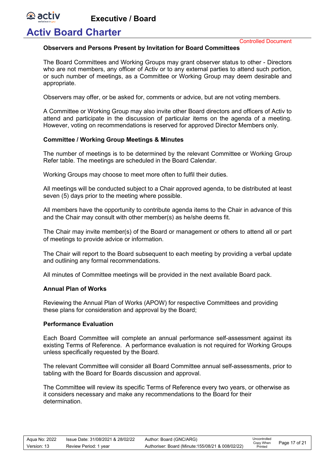### **Activ Board Charter**

**e** activ

Controlled Document

#### **Observers and Persons Present by Invitation for Board Committees**

The Board Committees and Working Groups may grant observer status to other - Directors who are not members, any officer of Activ or to any external parties to attend such portion, or such number of meetings, as a Committee or Working Group may deem desirable and appropriate.

Observers may offer, or be asked for, comments or advice, but are not voting members.

A Committee or Working Group may also invite other Board directors and officers of Activ to attend and participate in the discussion of particular items on the agenda of a meeting. However, voting on recommendations is reserved for approved Director Members only.

#### **Committee / Working Group Meetings & Minutes**

The number of meetings is to be determined by the relevant Committee or Working Group Refer table. The meetings are scheduled in the Board Calendar.

Working Groups may choose to meet more often to fulfil their duties.

All meetings will be conducted subject to a Chair approved agenda, to be distributed at least seven (5) days prior to the meeting where possible.

All members have the opportunity to contribute agenda items to the Chair in advance of this and the Chair may consult with other member(s) as he/she deems fit.

The Chair may invite member(s) of the Board or management or others to attend all or part of meetings to provide advice or information.

The Chair will report to the Board subsequent to each meeting by providing a verbal update and outlining any formal recommendations.

All minutes of Committee meetings will be provided in the next available Board pack.

#### **Annual Plan of Works**

Reviewing the Annual Plan of Works (APOW) for respective Committees and providing these plans for consideration and approval by the Board;

#### **Performance Evaluation**

Each Board Committee will complete an annual performance self-assessment against its existing Terms of Reference. A performance evaluation is not required for Working Groups unless specifically requested by the Board.

The relevant Committee will consider all Board Committee annual self-assessments, prior to tabling with the Board for Boards discussion and approval.

The Committee will review its specific Terms of Reference every two years, or otherwise as it considers necessary and make any recommendations to the Board for their determination.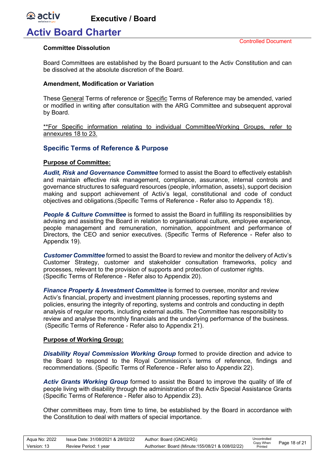

### **Activ Board Charter**

#### **Committee Dissolution**

Board Committees are established by the Board pursuant to the Activ Constitution and can be dissolved at the absolute discretion of the Board.

#### **Amendment, Modification or Variation**

These General Terms of reference or Specific Terms of Reference may be amended, varied or modified in writing after consultation with the ARG Committee and subsequent approval by Board.

\*\*For Specific information relating to individual Committee/Working Groups, refer to annexures 18 to 23.

#### <span id="page-17-0"></span>**Specific Terms of Reference & Purpose**

#### **Purpose of Committee:**

*Audit, Risk and Governance Committee* formed to assist the Board to effectively establish and maintain effective risk management, compliance, assurance, internal controls and governance structures to safeguard resources (people, information, assets), support decision making and support achievement of Activ's legal, constitutional and code of conduct objectives and obligations.(Specific Terms of Reference - Refer also to Appendix 18).

**People & Culture Committee** is formed to assist the Board in fulfilling its responsibilities by advising and assisting the Board in relation to organisational culture, employee experience, people management and remuneration, nomination, appointment and performance of Directors, the CEO and senior executives. (Specific Terms of Reference - Refer also to Appendix 19).

*Customer Committee* formed to assist the Board to review and monitor the delivery of Activ's Customer Strategy, customer and stakeholder consultation frameworks, policy and processes, relevant to the provision of supports and protection of customer rights. (Specific Terms of Reference - Refer also to Appendix 20).

*Finance Property & Investment Committee* is formed to oversee, monitor and review Activ's financial, property and investment planning processes, reporting systems and policies, ensuring the integrity of reporting, systems and controls and conducting in depth analysis of regular reports, including external audits. The Committee has responsibility to review and analyse the monthly financials and the underlying performance of the business. (Specific Terms of Reference - Refer also to Appendix 21).

#### **Purpose of Working Group:**

*Disability Royal Commission Working Group* formed to provide direction and advice to the Board to respond to the Royal Commission's terms of reference, findings and recommendations. (Specific Terms of Reference - Refer also to Appendix 22).

*Activ Grants Working Group* formed to assist the Board to improve the quality of life of people living with disability through the administration of the Activ Special Assistance Grants (Specific Terms of Reference - Refer also to Appendix 23).

Other committees may, from time to time, be established by the Board in accordance with the Constitution to deal with matters of special importance.

| Aqua No: 2022 | Issue Date: 31/08/2021 & 28/02/22 | Author: Board (GNC/ARG)                           | Uncontrolled<br>Copy When | Page 18 of 21 |
|---------------|-----------------------------------|---------------------------------------------------|---------------------------|---------------|
| Version: 13   | Review Period: 1 year             | Authoriser: Board (Minute: 155/08/21 & 008/02/22) | Printed                   |               |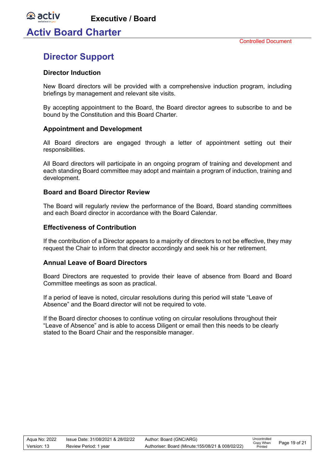**Activ Board Charter**

**e** activ

### <span id="page-18-0"></span>**Director Support**

#### <span id="page-18-1"></span>**Director Induction**

New Board directors will be provided with a comprehensive induction program, including briefings by management and relevant site visits.

By accepting appointment to the Board, the Board director agrees to subscribe to and be bound by the Constitution and this Board Charter.

#### <span id="page-18-2"></span>**Appointment and Development**

All Board directors are engaged through a letter of appointment setting out their responsibilities.

All Board directors will participate in an ongoing program of training and development and each standing Board committee may adopt and maintain a program of induction, training and development.

#### <span id="page-18-3"></span>**Board and Board Director Review**

The Board will regularly review the performance of the Board, Board standing committees and each Board director in accordance with the Board Calendar.

#### <span id="page-18-4"></span>**Effectiveness of Contribution**

If the contribution of a Director appears to a majority of directors to not be effective, they may request the Chair to inform that director accordingly and seek his or her retirement.

#### <span id="page-18-5"></span>**Annual Leave of Board Directors**

Board Directors are requested to provide their leave of absence from Board and Board Committee meetings as soon as practical.

If a period of leave is noted, circular resolutions during this period will state "Leave of Absence" and the Board director will not be required to vote.

If the Board director chooses to continue voting on circular resolutions throughout their "Leave of Absence" and is able to access Diligent or email then this needs to be clearly stated to the Board Chair and the responsible manager.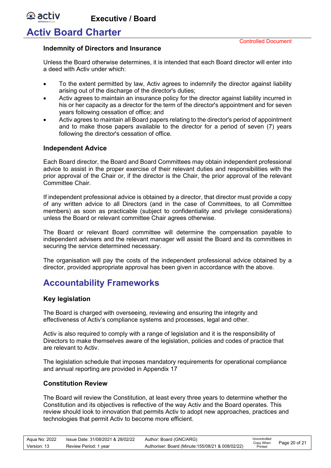### **Activ Board Charter**

*<b>A* activ

#### <span id="page-19-0"></span>**Indemnity of Directors and Insurance**

Unless the Board otherwise determines, it is intended that each Board director will enter into a deed with Activ under which:

- To the extent permitted by law, Activ agrees to indemnify the director against liability arising out of the discharge of the director's duties;
- Activ agrees to maintain an insurance policy for the director against liability incurred in his or her capacity as a director for the term of the director's appointment and for seven years following cessation of office; and
- Activ agrees to maintain all Board papers relating to the director's period of appointment and to make those papers available to the director for a period of seven (7) years following the director's cessation of office.

#### <span id="page-19-1"></span>**Independent Advice**

Each Board director, the Board and Board Committees may obtain independent professional advice to assist in the proper exercise of their relevant duties and responsibilities with the prior approval of the Chair or, if the director is the Chair, the prior approval of the relevant Committee Chair.

If independent professional advice is obtained by a director, that director must provide a copy of any written advice to all Directors (and in the case of Committees, to all Committee members) as soon as practicable (subject to confidentiality and privilege considerations) unless the Board or relevant committee Chair agrees otherwise.

The Board or relevant Board committee will determine the compensation payable to independent advisers and the relevant manager will assist the Board and its committees in securing the service determined necessary.

The organisation will pay the costs of the independent professional advice obtained by a director, provided appropriate approval has been given in accordance with the above.

### <span id="page-19-2"></span>**Accountability Frameworks**

#### <span id="page-19-3"></span>**Key legislation**

The Board is charged with overseeing, reviewing and ensuring the integrity and effectiveness of Activ's compliance systems and processes, legal and other.

Activ is also required to comply with a range of legislation and it is the responsibility of Directors to make themselves aware of the legislation, policies and codes of practice that are relevant to Activ.

The legislation schedule that imposes mandatory requirements for operational compliance and annual reporting are provided in Appendix 17

#### <span id="page-19-4"></span>**Constitution Review**

The Board will review the Constitution, at least every three years to determine whether the Constitution and its objectives is reflective of the way Activ and the Board operates. This review should look to innovation that permits Activ to adopt new approaches, practices and technologies that permit Activ to become more efficient.